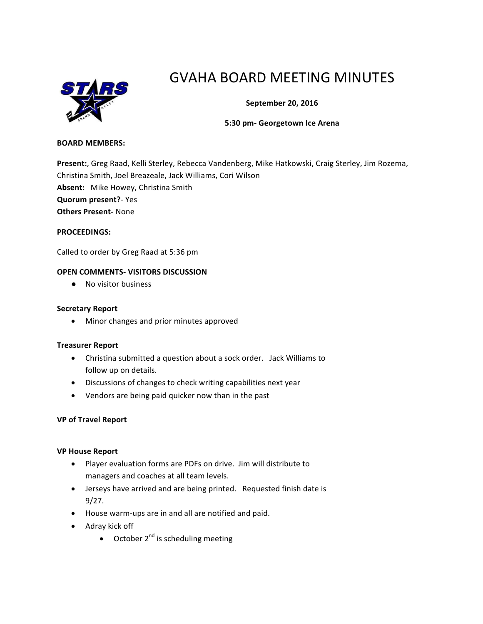

# GVAHA BOARD MEETING MINUTES

## **September 20, 2016**

### **5:30 pm- Georgetown Ice Arena**

#### **BOARD MEMBERS:**

Present:, Greg Raad, Kelli Sterley, Rebecca Vandenberg, Mike Hatkowski, Craig Sterley, Jim Rozema, Christina Smith, Joel Breazeale, Jack Williams, Cori Wilson Absent: Mike Howey, Christina Smith **Quorum present?**- Yes **Others Present-** None

## **PROCEEDINGS:**

Called to order by Greg Raad at 5:36 pm

#### **OPEN COMMENTS- VISITORS DISCUSSION**

● No visitor business

#### **Secretary Report**

• Minor changes and prior minutes approved

#### **Treasurer Report**

- Christina submitted a question about a sock order. Jack Williams to follow up on details.
- Discussions of changes to check writing capabilities next year
- Vendors are being paid quicker now than in the past

#### **VP of Travel Report**

#### **VP House Report**

- Player evaluation forms are PDFs on drive. Jim will distribute to managers and coaches at all team levels.
- Jerseys have arrived and are being printed. Requested finish date is 9/27.
- House warm-ups are in and all are notified and paid.
- Adray kick off
	- October  $2^{nd}$  is scheduling meeting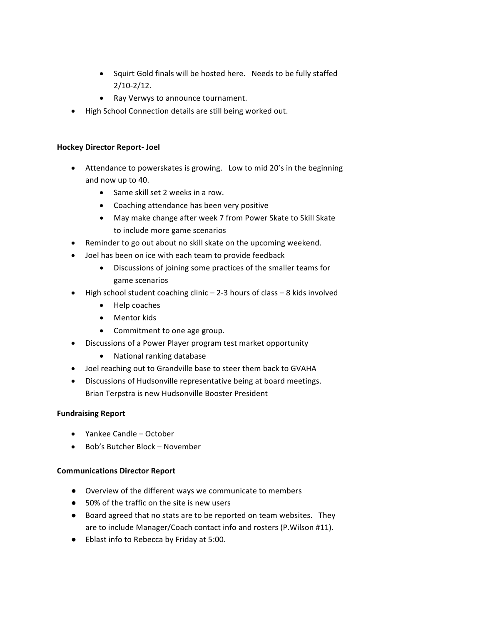- Squirt Gold finals will be hosted here. Needs to be fully staffed 2/10-2/12.
- Ray Verwys to announce tournament.
- High School Connection details are still being worked out.

## **Hockey Director Report- Joel**

- Attendance to powerskates is growing. Low to mid 20's in the beginning and now up to 40.
	- Same skill set 2 weeks in a row.
	- Coaching attendance has been very positive
	- May make change after week 7 from Power Skate to Skill Skate to include more game scenarios
- Reminder to go out about no skill skate on the upcoming weekend.
- Joel has been on ice with each team to provide feedback
	- Discussions of joining some practices of the smaller teams for game scenarios
- High school student coaching clinic  $-$  2-3 hours of class  $-$  8 kids involved
	- Help coaches
	- Mentor kids
	- Commitment to one age group.
- Discussions of a Power Player program test market opportunity
	- National ranking database
- Joel reaching out to Grandville base to steer them back to GVAHA
- Discussions of Hudsonville representative being at board meetings. Brian Terpstra is new Hudsonville Booster President

# **Fundraising Report**

- Yankee Candle October
- Bob's Butcher Block November

# **Communications Director Report**

- Overview of the different ways we communicate to members
- 50% of the traffic on the site is new users
- Board agreed that no stats are to be reported on team websites. They are to include Manager/Coach contact info and rosters (P.Wilson #11).
- Eblast info to Rebecca by Friday at 5:00.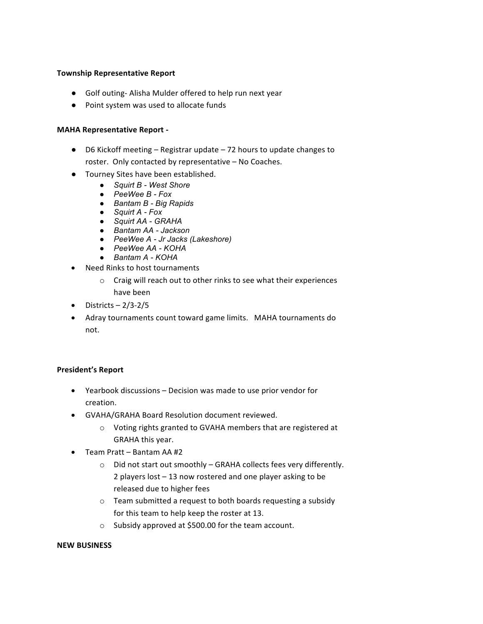#### **Township Representative Report**

- Golf outing-Alisha Mulder offered to help run next year
- Point system was used to allocate funds

#### **MAHA Representative Report -**

- $\bullet$  D6 Kickoff meeting Registrar update 72 hours to update changes to roster. Only contacted by representative - No Coaches.
- Tourney Sites have been established.
	- *Squirt B - West Shore*
	- *PeeWee B - Fox*
	- *Bantam B - Big Rapids*
	- *Squirt A - Fox*
	- *Squirt AA - GRAHA*
	- *Bantam AA - Jackson*
	- *PeeWee A - Jr Jacks (Lakeshore)*
	- *PeeWee AA - KOHA*
	- *Bantam A - KOHA*
- Need Rinks to host tournaments
	- $\circ$  Craig will reach out to other rinks to see what their experiences have been
- Districts  $-2/3-2/5$
- Adray tournaments count toward game limits. MAHA tournaments do not.

#### **President's Report**

- Yearbook discussions  $-$  Decision was made to use prior vendor for creation.
- GVAHA/GRAHA Board Resolution document reviewed.
	- $\circ$  Voting rights granted to GVAHA members that are registered at GRAHA this year.
- $\bullet$  Team Pratt Bantam AA #2
	- $\circ$  Did not start out smoothly GRAHA collects fees very differently. 2 players  $lost - 13$  now rostered and one player asking to be released due to higher fees
	- $\circ$  Team submitted a request to both boards requesting a subsidy for this team to help keep the roster at 13.
	- o Subsidy approved at \$500.00 for the team account.

#### **NEW BUSINESS**